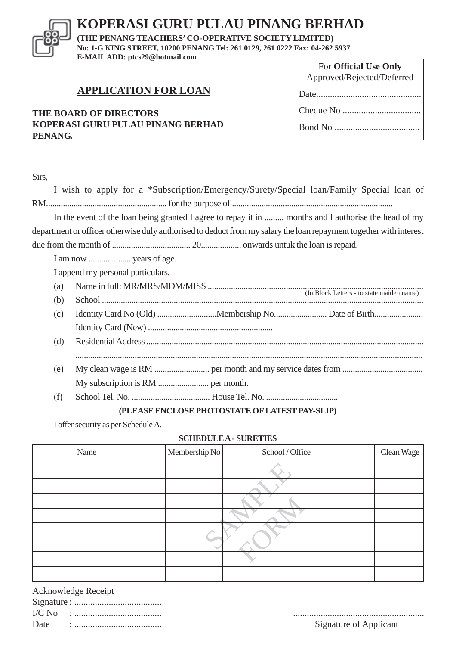# **KOPERASI GURU PULAU PINANG BERHAD**

**(THE PENANG TEACHERS' CO-OPERATIVE SOCIETY LIMITED) No: 1-G KING STREET, 10200 PENANG Tel: 261 0129, 261 0222 Fax: 04-262 5937 E-MAIL ADD: ptcs29@hotmail.com**

# **APPLICATION FOR LOAN**

## **THE BOARD OF DIRECTORS KOPERASI GURU PULAU PINANG BERHAD PENANG.**

| For Official Use Only      |  |  |  |
|----------------------------|--|--|--|
| Approved/Rejected/Deferred |  |  |  |
|                            |  |  |  |
|                            |  |  |  |
|                            |  |  |  |

|     | I wish to apply for a *Subscription/Emergency/Surety/Special loan/Family Special loan of                           |
|-----|--------------------------------------------------------------------------------------------------------------------|
|     |                                                                                                                    |
|     | In the event of the loan being granted I agree to repay it in  months and I authorise the head of my               |
|     | department or officer otherwise duly authorised to deduct from my salary the loan repayment together with interest |
|     |                                                                                                                    |
|     |                                                                                                                    |
|     | I append my personal particulars.                                                                                  |
| (a) |                                                                                                                    |
| (b) |                                                                                                                    |
| (c) |                                                                                                                    |
|     |                                                                                                                    |
| (d) |                                                                                                                    |
|     |                                                                                                                    |
| (e) |                                                                                                                    |
|     |                                                                                                                    |
| (f) |                                                                                                                    |
|     | (DI E A CE ENICI ACE DIIATACTATE AEI ATECT DAV CI ID)                                                              |

#### **(PLEASE ENCLOSE PHOTOSTATE OF LATEST PAY-SLIP)**

I offer security as per Schedule A.

#### **SCHEDULE A - SURETIES**

| Name | Membership No | School / Office | Clean Wage |
|------|---------------|-----------------|------------|
|      |               |                 |            |
|      |               |                 |            |
|      |               |                 |            |
|      |               |                 |            |
|      |               |                 |            |
|      |               |                 |            |
|      |               |                 |            |
|      |               |                 |            |

Acknowledge Receipt

I/C No : ...................................... ......................................................... Signature of Applicant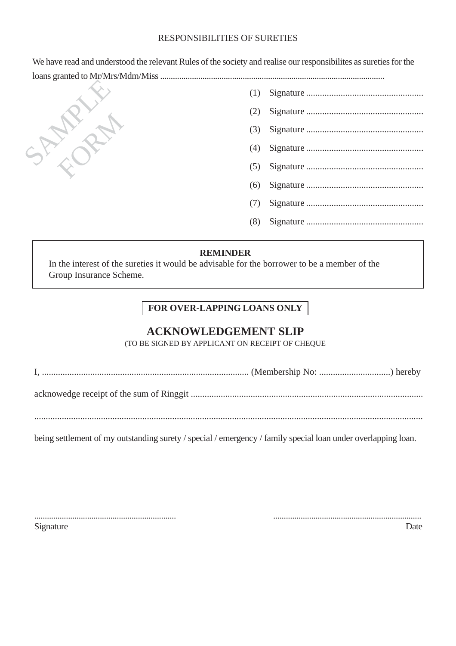### RESPONSIBILITIES OF SURETIES

We have read and understood the relevant Rules of the society and realise our responsibilites as sureties for the loans granted to Mr/Mrs/Mdm/Miss ..........................................................................................................



| (2) |  |
|-----|--|
|     |  |
|     |  |
|     |  |
|     |  |
|     |  |
| (8) |  |
|     |  |

#### **REMINDER**

In the interest of the sureties it would be advisable for the borrower to be a member of the Group Insurance Scheme.

# **FOR OVER-LAPPING LOANS ONLY**

## **ACKNOWLEDGEMENT SLIP**

(TO BE SIGNED BY APPLICANT ON RECEIPT OF CHEQUE

| . |  |
|---|--|
|---|--|

acknowedge receipt of the sum of Ringgit .....................................................................................................

.........................................................................................................................................................................

being settlement of my outstanding surety / special / emergency / family special loan under overlapping loan.

................................................................... ......................................................................

Signature Date